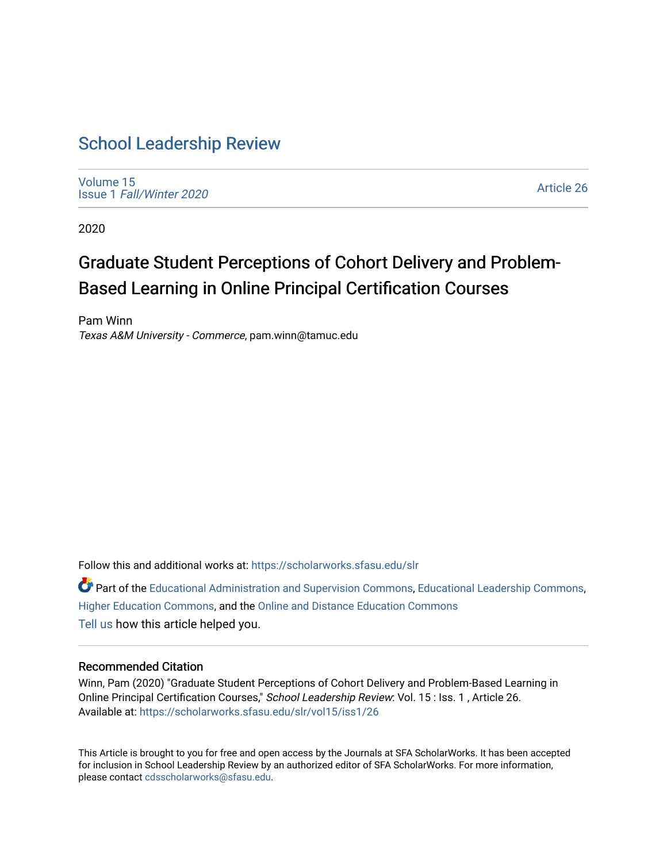# [School Leadership Review](https://scholarworks.sfasu.edu/slr)

[Volume 15](https://scholarworks.sfasu.edu/slr/vol15) Issue 1 [Fall/Winter 2020](https://scholarworks.sfasu.edu/slr/vol15/iss1) 

[Article 26](https://scholarworks.sfasu.edu/slr/vol15/iss1/26) 

2020

# Graduate Student Perceptions of Cohort Delivery and Problem-Based Learning in Online Principal Certification Courses

Pam Winn Texas A&M University - Commerce, pam.winn@tamuc.edu

Follow this and additional works at: [https://scholarworks.sfasu.edu/slr](https://scholarworks.sfasu.edu/slr?utm_source=scholarworks.sfasu.edu%2Fslr%2Fvol15%2Fiss1%2F26&utm_medium=PDF&utm_campaign=PDFCoverPages) 

Part of the [Educational Administration and Supervision Commons](http://network.bepress.com/hgg/discipline/787?utm_source=scholarworks.sfasu.edu%2Fslr%2Fvol15%2Fiss1%2F26&utm_medium=PDF&utm_campaign=PDFCoverPages), [Educational Leadership Commons](http://network.bepress.com/hgg/discipline/1230?utm_source=scholarworks.sfasu.edu%2Fslr%2Fvol15%2Fiss1%2F26&utm_medium=PDF&utm_campaign=PDFCoverPages), [Higher Education Commons,](http://network.bepress.com/hgg/discipline/1245?utm_source=scholarworks.sfasu.edu%2Fslr%2Fvol15%2Fiss1%2F26&utm_medium=PDF&utm_campaign=PDFCoverPages) and the [Online and Distance Education Commons](http://network.bepress.com/hgg/discipline/1296?utm_source=scholarworks.sfasu.edu%2Fslr%2Fvol15%2Fiss1%2F26&utm_medium=PDF&utm_campaign=PDFCoverPages)  [Tell us](http://sfasu.qualtrics.com/SE/?SID=SV_0qS6tdXftDLradv) how this article helped you.

#### Recommended Citation

Winn, Pam (2020) "Graduate Student Perceptions of Cohort Delivery and Problem-Based Learning in Online Principal Certification Courses," School Leadership Review: Vol. 15 : Iss. 1 , Article 26. Available at: [https://scholarworks.sfasu.edu/slr/vol15/iss1/26](https://scholarworks.sfasu.edu/slr/vol15/iss1/26?utm_source=scholarworks.sfasu.edu%2Fslr%2Fvol15%2Fiss1%2F26&utm_medium=PDF&utm_campaign=PDFCoverPages) 

This Article is brought to you for free and open access by the Journals at SFA ScholarWorks. It has been accepted for inclusion in School Leadership Review by an authorized editor of SFA ScholarWorks. For more information, please contact [cdsscholarworks@sfasu.edu.](mailto:cdsscholarworks@sfasu.edu)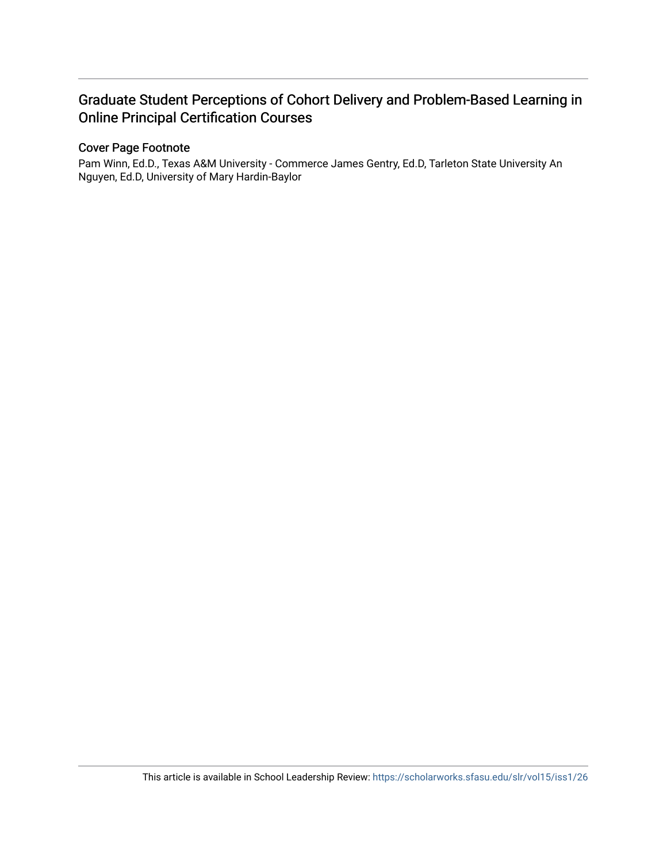# Graduate Student Perceptions of Cohort Delivery and Problem-Based Learning in Online Principal Certification Courses

## Cover Page Footnote

Pam Winn, Ed.D., Texas A&M University - Commerce James Gentry, Ed.D, Tarleton State University An Nguyen, Ed.D, University of Mary Hardin-Baylor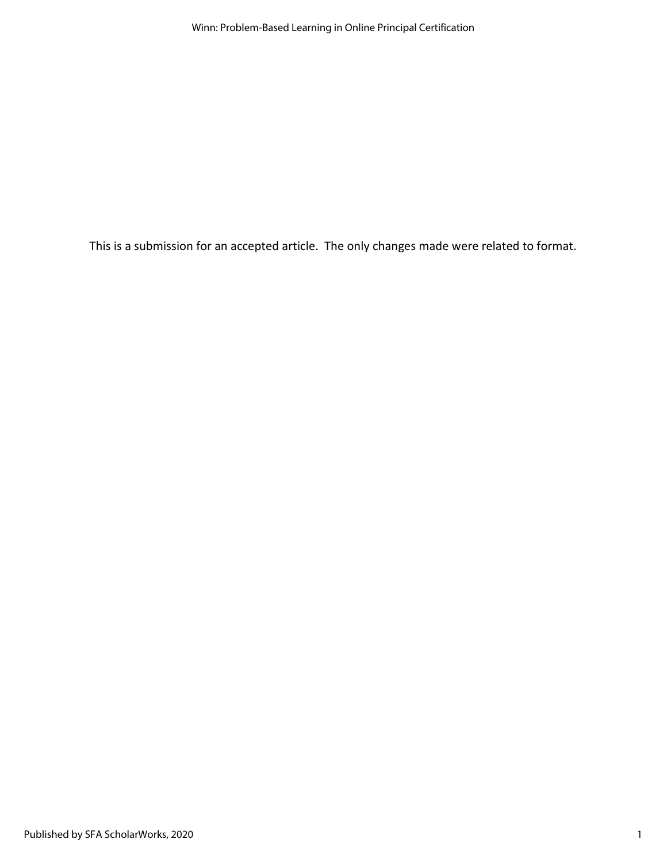This is a submission for an accepted article. The only changes made were related to format.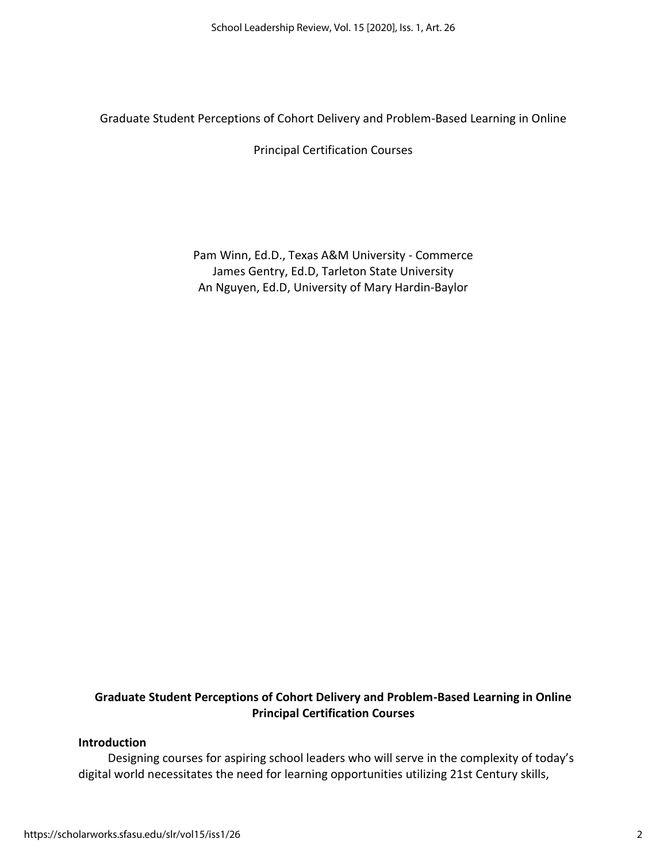Graduate Student Perceptions of Cohort Delivery and Problem-Based Learning in Online

Principal Certification Courses

Pam Winn, Ed.D., Texas A&M University - Commerce James Gentry, Ed.D, Tarleton State University An Nguyen, Ed.D, University of Mary Hardin-Baylor

# **Graduate Student Perceptions of Cohort Delivery and Problem-Based Learning in Online Principal Certification Courses**

#### **Introduction**

Designing courses for aspiring school leaders who will serve in the complexity of today's digital world necessitates the need for learning opportunities utilizing 21st Century skills,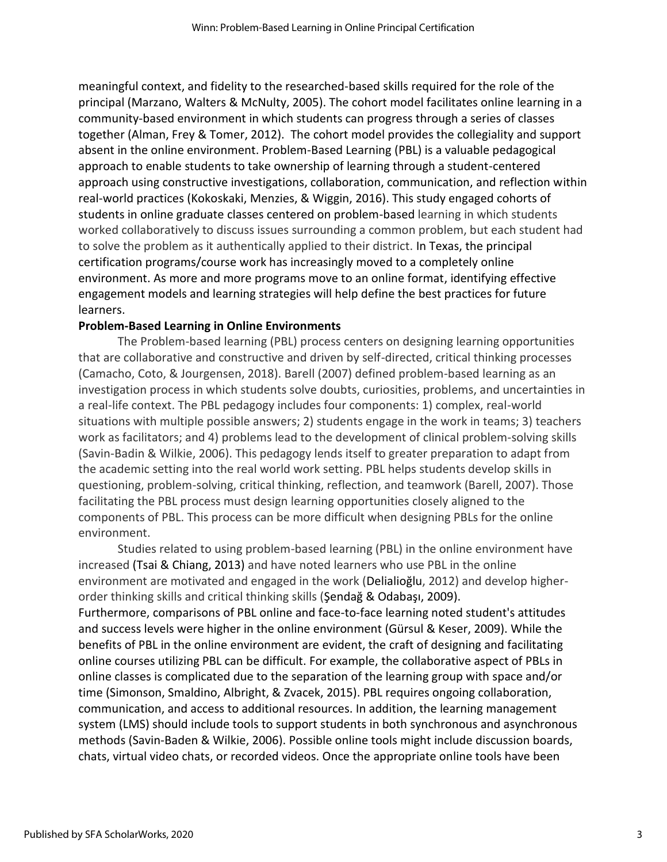meaningful context, and fidelity to the researched-based skills required for the role of the principal (Marzano, Walters & McNulty, 2005). The cohort model facilitates online learning in a community-based environment in which students can progress through a series of classes together (Alman, Frey & Tomer, 2012). The cohort model provides the collegiality and support absent in the online environment. Problem-Based Learning (PBL) is a valuable pedagogical approach to enable students to take ownership of learning through a student-centered approach using constructive investigations, collaboration, communication, and reflection within real-world practices (Kokoskaki, Menzies, & Wiggin, 2016). This study engaged cohorts of students in online graduate classes centered on problem-based learning in which students worked collaboratively to discuss issues surrounding a common problem, but each student had to solve the problem as it authentically applied to their district. In Texas, the principal certification programs/course work has increasingly moved to a completely online environment. As more and more programs move to an online format, identifying effective engagement models and learning strategies will help define the best practices for future learners.

#### **Problem-Based Learning in Online Environments**

The Problem-based learning (PBL) process centers on designing learning opportunities that are collaborative and constructive and driven by self-directed, critical thinking processes (Camacho, Coto, & Jourgensen, 2018). Barell (2007) defined problem-based learning as an investigation process in which students solve doubts, curiosities, problems, and uncertainties in a real-life context. The PBL pedagogy includes four components: 1) complex, real-world situations with multiple possible answers; 2) students engage in the work in teams; 3) teachers work as facilitators; and 4) problems lead to the development of clinical problem-solving skills (Savin-Badin & Wilkie, 2006). This pedagogy lends itself to greater preparation to adapt from the academic setting into the real world work setting. PBL helps students develop skills in questioning, problem-solving, critical thinking, reflection, and teamwork (Barell, 2007). Those facilitating the PBL process must design learning opportunities closely aligned to the components of PBL. This process can be more difficult when designing PBLs for the online environment.

Studies related to using problem-based learning (PBL) in the online environment have increased (Tsai & Chiang, 2013) and have noted learners who use PBL in the online environment are motivated and engaged in the work (Delialioğlu, 2012) and develop higherorder thinking skills and critical thinking skills (Şendağ & Odabaşı, 2009). Furthermore, comparisons of PBL online and face-to-face learning noted student's attitudes and success levels were higher in the online environment (Gürsul & Keser, 2009). While the benefits of PBL in the online environment are evident, the craft of designing and facilitating online courses utilizing PBL can be difficult. For example, the collaborative aspect of PBLs in online classes is complicated due to the separation of the learning group with space and/or time (Simonson, Smaldino, Albright, & Zvacek, 2015). PBL requires ongoing collaboration, communication, and access to additional resources. In addition, the learning management system (LMS) should include tools to support students in both synchronous and asynchronous methods (Savin-Baden & Wilkie, 2006). Possible online tools might include discussion boards, chats, virtual video chats, or recorded videos. Once the appropriate online tools have been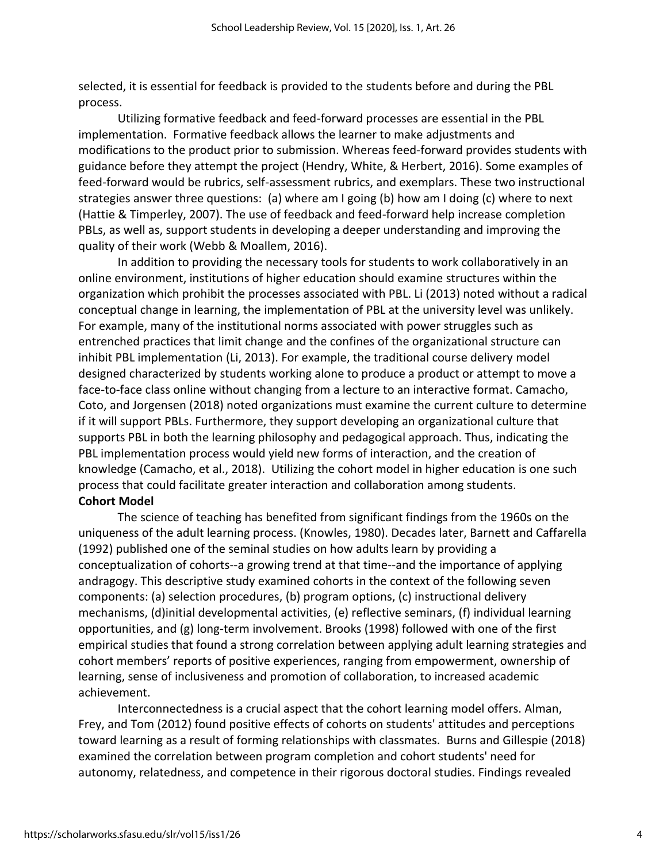selected, it is essential for feedback is provided to the students before and during the PBL process.

Utilizing formative feedback and feed-forward processes are essential in the PBL implementation. Formative feedback allows the learner to make adjustments and modifications to the product prior to submission. Whereas feed-forward provides students with guidance before they attempt the project (Hendry, White, & Herbert, 2016). Some examples of feed-forward would be rubrics, self-assessment rubrics, and exemplars. These two instructional strategies answer three questions: (a) where am I going (b) how am I doing (c) where to next (Hattie & Timperley, 2007). The use of feedback and feed-forward help increase completion PBLs, as well as, support students in developing a deeper understanding and improving the quality of their work (Webb & Moallem, 2016).

In addition to providing the necessary tools for students to work collaboratively in an online environment, institutions of higher education should examine structures within the organization which prohibit the processes associated with PBL. Li (2013) noted without a radical conceptual change in learning, the implementation of PBL at the university level was unlikely. For example, many of the institutional norms associated with power struggles such as entrenched practices that limit change and the confines of the organizational structure can inhibit PBL implementation (Li, 2013). For example, the traditional course delivery model designed characterized by students working alone to produce a product or attempt to move a face-to-face class online without changing from a lecture to an interactive format. Camacho, Coto, and Jorgensen (2018) noted organizations must examine the current culture to determine if it will support PBLs. Furthermore, they support developing an organizational culture that supports PBL in both the learning philosophy and pedagogical approach. Thus, indicating the PBL implementation process would yield new forms of interaction, and the creation of knowledge (Camacho, et al., 2018). Utilizing the cohort model in higher education is one such process that could facilitate greater interaction and collaboration among students. **Cohort Model**

The science of teaching has benefited from significant findings from the 1960s on the uniqueness of the adult learning process. (Knowles, 1980). Decades later, Barnett and Caffarella (1992) published one of the seminal studies on how adults learn by providing a conceptualization of cohorts--a growing trend at that time--and the importance of applying andragogy. This descriptive study examined cohorts in the context of the following seven components: (a) selection procedures, (b) program options, (c) instructional delivery mechanisms, (d)initial developmental activities, (e) reflective seminars, (f) individual learning opportunities, and (g) long-term involvement. Brooks (1998) followed with one of the first empirical studies that found a strong correlation between applying adult learning strategies and cohort members' reports of positive experiences, ranging from empowerment, ownership of learning, sense of inclusiveness and promotion of collaboration, to increased academic achievement.

Interconnectedness is a crucial aspect that the cohort learning model offers. Alman, Frey, and Tom (2012) found positive effects of cohorts on students' attitudes and perceptions toward learning as a result of forming relationships with classmates. Burns and Gillespie (2018) examined the correlation between program completion and cohort students' need for autonomy, relatedness, and competence in their rigorous doctoral studies. Findings revealed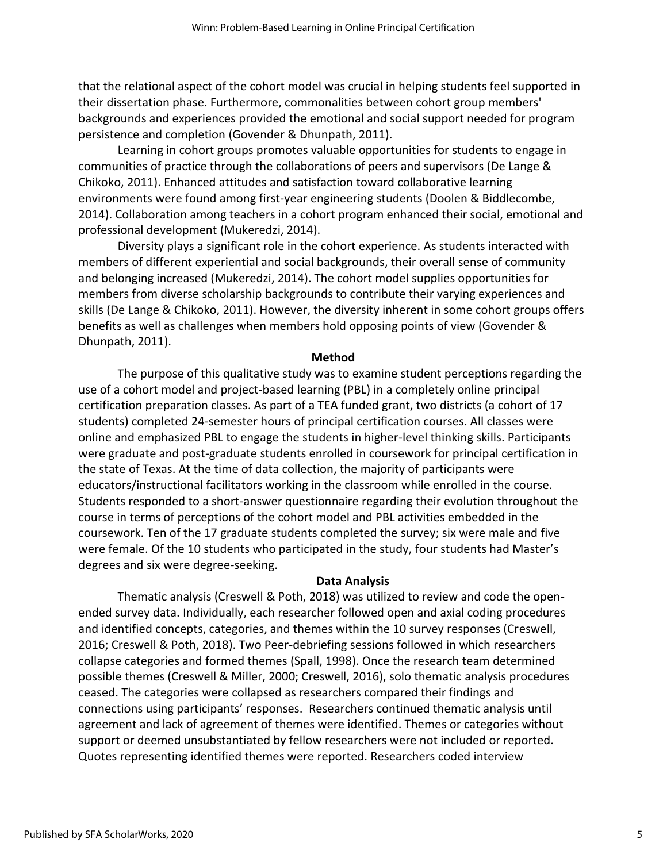that the relational aspect of the cohort model was crucial in helping students feel supported in their dissertation phase. Furthermore, commonalities between cohort group members' backgrounds and experiences provided the emotional and social support needed for program persistence and completion (Govender & Dhunpath, 2011).

Learning in cohort groups promotes valuable opportunities for students to engage in communities of practice through the collaborations of peers and supervisors (De Lange & Chikoko, 2011). Enhanced attitudes and satisfaction toward collaborative learning environments were found among first-year engineering students (Doolen & Biddlecombe, 2014). Collaboration among teachers in a cohort program enhanced their social, emotional and professional development (Mukeredzi, 2014).

Diversity plays a significant role in the cohort experience. As students interacted with members of different experiential and social backgrounds, their overall sense of community and belonging increased (Mukeredzi, 2014). The cohort model supplies opportunities for members from diverse scholarship backgrounds to contribute their varying experiences and skills (De Lange & Chikoko, 2011). However, the diversity inherent in some cohort groups offers benefits as well as challenges when members hold opposing points of view (Govender & Dhunpath, 2011).

#### **Method**

The purpose of this qualitative study was to examine student perceptions regarding the use of a cohort model and project-based learning (PBL) in a completely online principal certification preparation classes. As part of a TEA funded grant, two districts (a cohort of 17 students) completed 24-semester hours of principal certification courses. All classes were online and emphasized PBL to engage the students in higher-level thinking skills. Participants were graduate and post-graduate students enrolled in coursework for principal certification in the state of Texas. At the time of data collection, the majority of participants were educators/instructional facilitators working in the classroom while enrolled in the course. Students responded to a short-answer questionnaire regarding their evolution throughout the course in terms of perceptions of the cohort model and PBL activities embedded in the coursework. Ten of the 17 graduate students completed the survey; six were male and five were female. Of the 10 students who participated in the study, four students had Master's degrees and six were degree-seeking.

#### **Data Analysis**

Thematic analysis (Creswell & Poth, 2018) was utilized to review and code the openended survey data. Individually, each researcher followed open and axial coding procedures and identified concepts, categories, and themes within the 10 survey responses (Creswell, 2016; Creswell & Poth, 2018). Two Peer-debriefing sessions followed in which researchers collapse categories and formed themes (Spall, 1998). Once the research team determined possible themes (Creswell & Miller, 2000; Creswell, 2016), solo thematic analysis procedures ceased. The categories were collapsed as researchers compared their findings and connections using participants' responses. Researchers continued thematic analysis until agreement and lack of agreement of themes were identified. Themes or categories without support or deemed unsubstantiated by fellow researchers were not included or reported. Quotes representing identified themes were reported. Researchers coded interview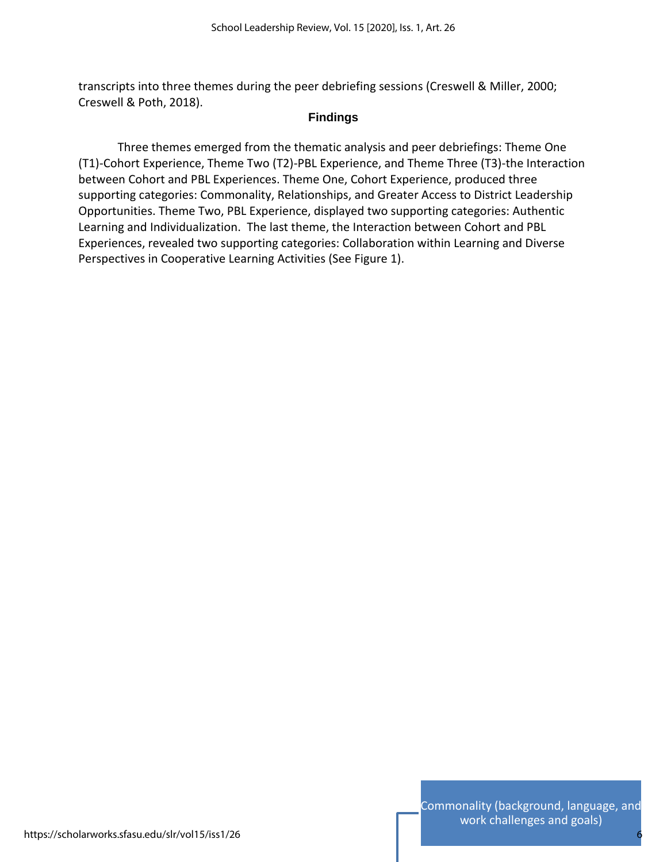transcripts into three themes during the peer debriefing sessions (Creswell & Miller, 2000; Creswell & Poth, 2018).

# **Findings**

Three themes emerged from the thematic analysis and peer debriefings: Theme One (T1)-Cohort Experience, Theme Two (T2)-PBL Experience, and Theme Three (T3)-the Interaction between Cohort and PBL Experiences. Theme One, Cohort Experience, produced three supporting categories: Commonality, Relationships, and Greater Access to District Leadership Opportunities. Theme Two, PBL Experience, displayed two supporting categories: Authentic Learning and Individualization. The last theme, the Interaction between Cohort and PBL Experiences, revealed two supporting categories: Collaboration within Learning and Diverse Perspectives in Cooperative Learning Activities (See Figure 1).

6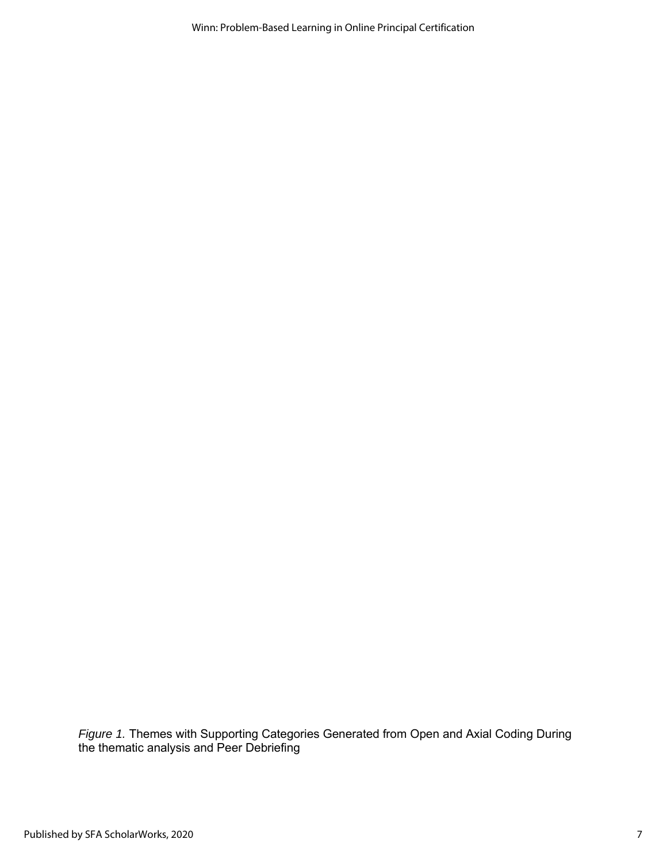Winn: Problem-Based Learning in Online Principal Certification

*Figure 1.* Themes with Supporting Categories Generated from Open and Axial Coding During the thematic analysis and Peer Debriefing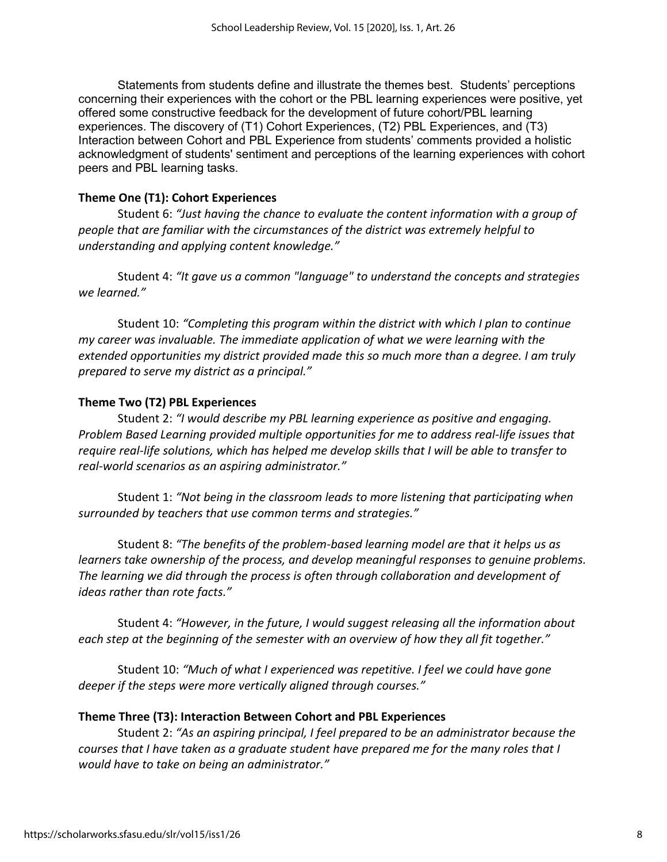Statements from students define and illustrate the themes best. Students' perceptions concerning their experiences with the cohort or the PBL learning experiences were positive, yet offered some constructive feedback for the development of future cohort/PBL learning experiences. The discovery of (T1) Cohort Experiences, (T2) PBL Experiences, and (T3) Interaction between Cohort and PBL Experience from students' comments provided a holistic acknowledgment of students' sentiment and perceptions of the learning experiences with cohort peers and PBL learning tasks.

#### **Theme One (T1): Cohort Experiences**

Student 6: *"Just having the chance to evaluate the content information with a group of people that are familiar with the circumstances of the district was extremely helpful to understanding and applying content knowledge."*

Student 4: *"It gave us a common "language" to understand the concepts and strategies we learned."*

Student 10: *"Completing this program within the district with which I plan to continue my career was invaluable. The immediate application of what we were learning with the extended opportunities my district provided made this so much more than a degree. I am truly prepared to serve my district as a principal."*

### **Theme Two (T2) PBL Experiences**

Student 2: *"I would describe my PBL learning experience as positive and engaging. Problem Based Learning provided multiple opportunities for me to address real-life issues that require real-life solutions, which has helped me develop skills that I will be able to transfer to real-world scenarios as an aspiring administrator."*

Student 1: *"Not being in the classroom leads to more listening that participating when surrounded by teachers that use common terms and strategies."*

Student 8: *"The benefits of the problem-based learning model are that it helps us as learners take ownership of the process, and develop meaningful responses to genuine problems. The learning we did through the process is often through collaboration and development of ideas rather than rote facts."*

Student 4: *"However, in the future, I would suggest releasing all the information about each step at the beginning of the semester with an overview of how they all fit together."*

Student 10: *"Much of what I experienced was repetitive. I feel we could have gone deeper if the steps were more vertically aligned through courses."*

### **Theme Three (T3): Interaction Between Cohort and PBL Experiences**

Student 2: *"As an aspiring principal, I feel prepared to be an administrator because the courses that I have taken as a graduate student have prepared me for the many roles that I would have to take on being an administrator."*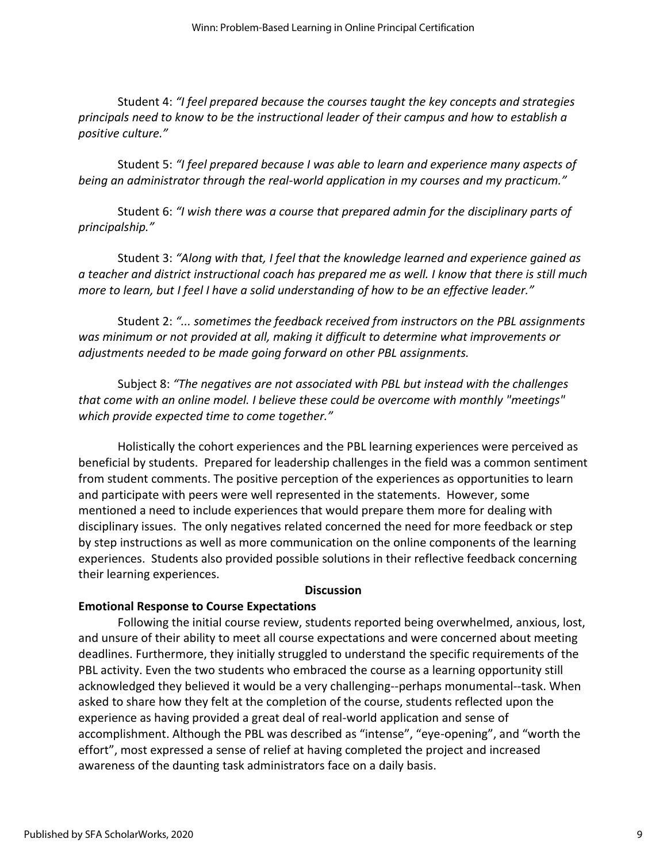Student 4: *"I feel prepared because the courses taught the key concepts and strategies principals need to know to be the instructional leader of their campus and how to establish a positive culture."*

Student 5: *"I feel prepared because I was able to learn and experience many aspects of being an administrator through the real-world application in my courses and my practicum."*

Student 6: *"I wish there was a course that prepared admin for the disciplinary parts of principalship."*

Student 3: *"Along with that, I feel that the knowledge learned and experience gained as a teacher and district instructional coach has prepared me as well. I know that there is still much more to learn, but I feel I have a solid understanding of how to be an effective leader."* 

Student 2: *"... sometimes the feedback received from instructors on the PBL assignments was minimum or not provided at all, making it difficult to determine what improvements or adjustments needed to be made going forward on other PBL assignments.*

Subject 8: *"The negatives are not associated with PBL but instead with the challenges that come with an online model. I believe these could be overcome with monthly "meetings" which provide expected time to come together."*

Holistically the cohort experiences and the PBL learning experiences were perceived as beneficial by students. Prepared for leadership challenges in the field was a common sentiment from student comments. The positive perception of the experiences as opportunities to learn and participate with peers were well represented in the statements. However, some mentioned a need to include experiences that would prepare them more for dealing with disciplinary issues. The only negatives related concerned the need for more feedback or step by step instructions as well as more communication on the online components of the learning experiences. Students also provided possible solutions in their reflective feedback concerning their learning experiences.

#### **Discussion**

### **Emotional Response to Course Expectations**

Following the initial course review, students reported being overwhelmed, anxious, lost, and unsure of their ability to meet all course expectations and were concerned about meeting deadlines. Furthermore, they initially struggled to understand the specific requirements of the PBL activity. Even the two students who embraced the course as a learning opportunity still acknowledged they believed it would be a very challenging--perhaps monumental--task. When asked to share how they felt at the completion of the course, students reflected upon the experience as having provided a great deal of real-world application and sense of accomplishment. Although the PBL was described as "intense", "eye-opening", and "worth the effort", most expressed a sense of relief at having completed the project and increased awareness of the daunting task administrators face on a daily basis.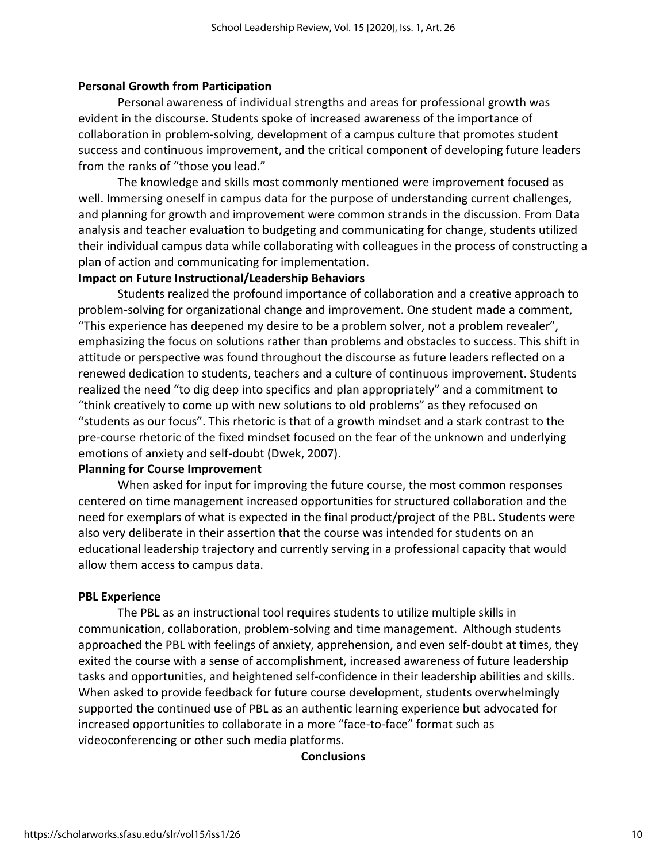### **Personal Growth from Participation**

Personal awareness of individual strengths and areas for professional growth was evident in the discourse. Students spoke of increased awareness of the importance of collaboration in problem-solving, development of a campus culture that promotes student success and continuous improvement, and the critical component of developing future leaders from the ranks of "those you lead."

The knowledge and skills most commonly mentioned were improvement focused as well. Immersing oneself in campus data for the purpose of understanding current challenges, and planning for growth and improvement were common strands in the discussion. From Data analysis and teacher evaluation to budgeting and communicating for change, students utilized their individual campus data while collaborating with colleagues in the process of constructing a plan of action and communicating for implementation.

## **Impact on Future Instructional/Leadership Behaviors**

Students realized the profound importance of collaboration and a creative approach to problem-solving for organizational change and improvement. One student made a comment, "This experience has deepened my desire to be a problem solver, not a problem revealer", emphasizing the focus on solutions rather than problems and obstacles to success. This shift in attitude or perspective was found throughout the discourse as future leaders reflected on a renewed dedication to students, teachers and a culture of continuous improvement. Students realized the need "to dig deep into specifics and plan appropriately" and a commitment to "think creatively to come up with new solutions to old problems" as they refocused on "students as our focus". This rhetoric is that of a growth mindset and a stark contrast to the pre-course rhetoric of the fixed mindset focused on the fear of the unknown and underlying emotions of anxiety and self-doubt (Dwek, 2007).

### **Planning for Course Improvement**

When asked for input for improving the future course, the most common responses centered on time management increased opportunities for structured collaboration and the need for exemplars of what is expected in the final product/project of the PBL. Students were also very deliberate in their assertion that the course was intended for students on an educational leadership trajectory and currently serving in a professional capacity that would allow them access to campus data.

### **PBL Experience**

The PBL as an instructional tool requires students to utilize multiple skills in communication, collaboration, problem-solving and time management. Although students approached the PBL with feelings of anxiety, apprehension, and even self-doubt at times, they exited the course with a sense of accomplishment, increased awareness of future leadership tasks and opportunities, and heightened self-confidence in their leadership abilities and skills. When asked to provide feedback for future course development, students overwhelmingly supported the continued use of PBL as an authentic learning experience but advocated for increased opportunities to collaborate in a more "face-to-face" format such as videoconferencing or other such media platforms.

### **Conclusions**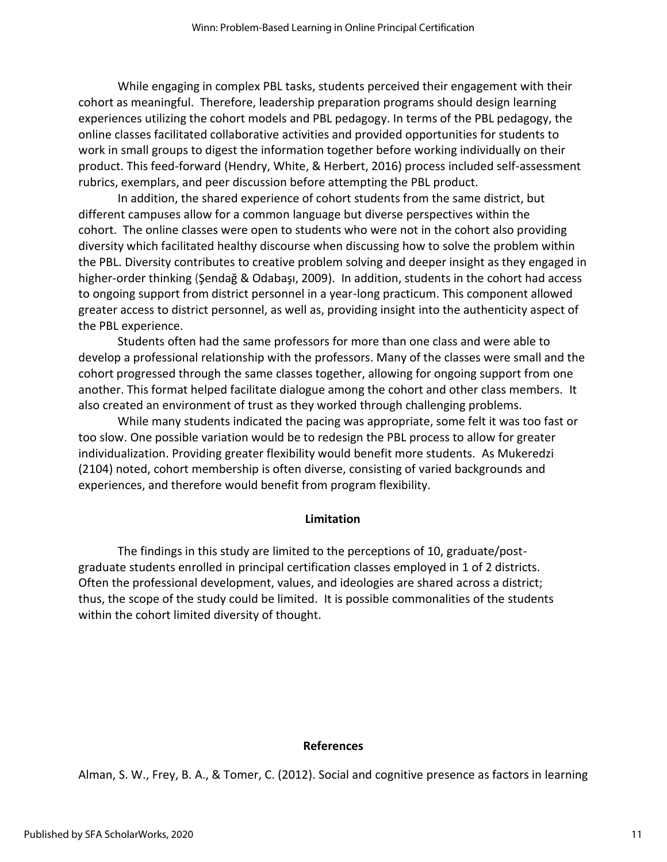While engaging in complex PBL tasks, students perceived their engagement with their cohort as meaningful. Therefore, leadership preparation programs should design learning experiences utilizing the cohort models and PBL pedagogy. In terms of the PBL pedagogy, the online classes facilitated collaborative activities and provided opportunities for students to work in small groups to digest the information together before working individually on their product. This feed-forward (Hendry, White, & Herbert, 2016) process included self-assessment rubrics, exemplars, and peer discussion before attempting the PBL product.

In addition, the shared experience of cohort students from the same district, but different campuses allow for a common language but diverse perspectives within the cohort. The online classes were open to students who were not in the cohort also providing diversity which facilitated healthy discourse when discussing how to solve the problem within the PBL. Diversity contributes to creative problem solving and deeper insight as they engaged in higher-order thinking (Şendağ & Odabaşı, 2009). In addition, students in the cohort had access to ongoing support from district personnel in a year-long practicum. This component allowed greater access to district personnel, as well as, providing insight into the authenticity aspect of the PBL experience.

Students often had the same professors for more than one class and were able to develop a professional relationship with the professors. Many of the classes were small and the cohort progressed through the same classes together, allowing for ongoing support from one another. This format helped facilitate dialogue among the cohort and other class members. It also created an environment of trust as they worked through challenging problems.

While many students indicated the pacing was appropriate, some felt it was too fast or too slow. One possible variation would be to redesign the PBL process to allow for greater individualization. Providing greater flexibility would benefit more students. As Mukeredzi (2104) noted, cohort membership is often diverse, consisting of varied backgrounds and experiences, and therefore would benefit from program flexibility.

#### **Limitation**

The findings in this study are limited to the perceptions of 10, graduate/postgraduate students enrolled in principal certification classes employed in 1 of 2 districts. Often the professional development, values, and ideologies are shared across a district; thus, the scope of the study could be limited. It is possible commonalities of the students within the cohort limited diversity of thought.

#### **References**

Alman, S. W., Frey, B. A., & Tomer, C. (2012). Social and cognitive presence as factors in learning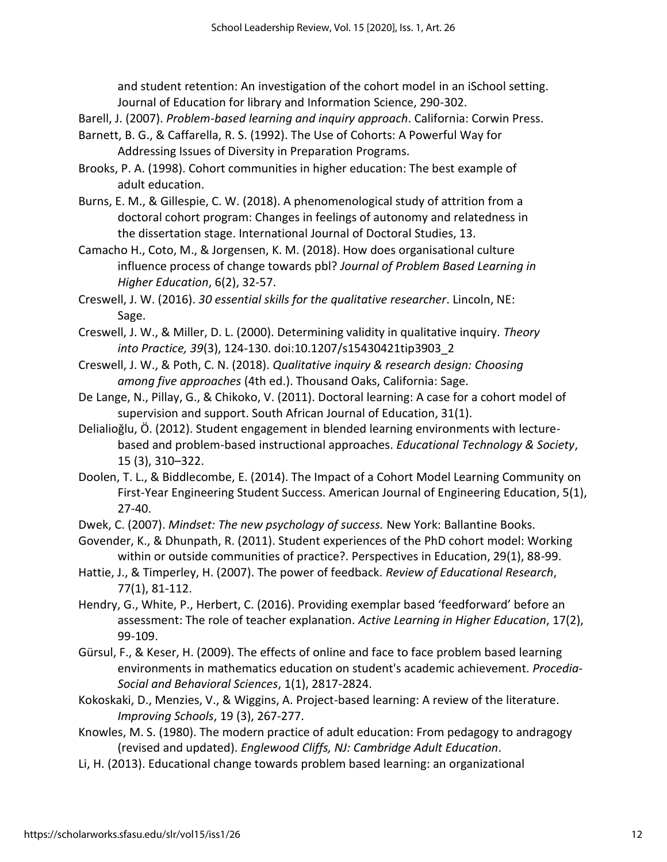and student retention: An investigation of the cohort model in an iSchool setting. Journal of Education for library and Information Science, 290-302.

- Barell, J. (2007). *Problem-based learning and inquiry approach*. California: Corwin Press.
- Barnett, B. G., & Caffarella, R. S. (1992). The Use of Cohorts: A Powerful Way for Addressing Issues of Diversity in Preparation Programs.
- Brooks, P. A. (1998). Cohort communities in higher education: The best example of adult education.
- Burns, E. M., & Gillespie, C. W. (2018). A phenomenological study of attrition from a doctoral cohort program: Changes in feelings of autonomy and relatedness in the dissertation stage. International Journal of Doctoral Studies, 13.
- Camacho H., Coto, M., & Jorgensen, K. M. (2018). How does organisational culture influence process of change towards pbl? *Journal of Problem Based Learning in Higher Education*, 6(2), 32-57.
- Creswell, J. W. (2016). *30 essential skills for the qualitative researcher*. Lincoln, NE: Sage.
- Creswell, J. W., & Miller, D. L. (2000). Determining validity in qualitative inquiry. *Theory into Practice, 39*(3), 124-130. doi:10.1207/s15430421tip3903\_2
- Creswell, J. W., & Poth, C. N. (2018). *Qualitative inquiry & research design: Choosing among five approaches* (4th ed.). Thousand Oaks, California: Sage.
- De Lange, N., Pillay, G., & Chikoko, V. (2011). Doctoral learning: A case for a cohort model of supervision and support. South African Journal of Education, 31(1).
- Delialioğlu, Ö. (2012). Student engagement in blended learning environments with lecturebased and problem-based instructional approaches. *Educational Technology & Society*, 15 (3), 310–322.
- Doolen, T. L., & Biddlecombe, E. (2014). The Impact of a Cohort Model Learning Community on First-Year Engineering Student Success. American Journal of Engineering Education, 5(1), 27-40.
- Dwek, C. (2007). *Mindset: The new psychology of success.* New York: Ballantine Books.
- Govender, K., & Dhunpath, R. (2011). Student experiences of the PhD cohort model: Working within or outside communities of practice?. Perspectives in Education, 29(1), 88-99.
- Hattie, J., & Timperley, H. (2007). The power of feedback. *Review of Educational Research*, 77(1), 81-112.
- Hendry, G., White, P., Herbert, C. (2016). Providing exemplar based 'feedforward' before an assessment: The role of teacher explanation. *Active Learning in Higher Education*, 17(2), 99-109.
- Gürsul, F., & Keser, H. (2009). The effects of online and face to face problem based learning environments in mathematics education on student's academic achievement. *Procedia-Social and Behavioral Sciences*, 1(1), 2817-2824.
- Kokoskaki, D., Menzies, V., & Wiggins, A. Project-based learning: A review of the literature. *Improving Schools*, 19 (3), 267-277.
- Knowles, M. S. (1980). The modern practice of adult education: From pedagogy to andragogy (revised and updated). *Englewood Cliffs, NJ: Cambridge Adult Education*.
- Li, H. (2013). Educational change towards problem based learning: an organizational